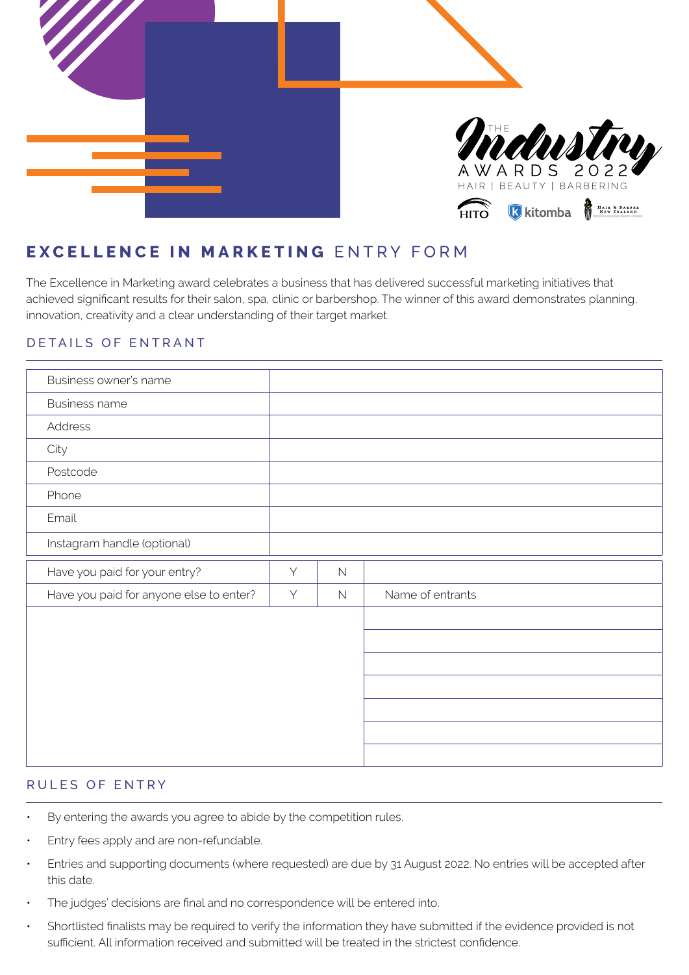

# **EXCELLENCE IN MARKETING** ENTRY FORM

The Excellence in Marketing award celebrates a business that has delivered successful marketing initiatives that achieved significant results for their salon, spa, clinic or barbershop. The winner of this award demonstrates planning, innovation, creativity and a clear understanding of their target market.

## DETAILS OF ENTRANT

| Business owner's name                   |   |             |                  |  |
|-----------------------------------------|---|-------------|------------------|--|
| <b>Business name</b>                    |   |             |                  |  |
| Address                                 |   |             |                  |  |
| City                                    |   |             |                  |  |
| Postcode                                |   |             |                  |  |
| Phone                                   |   |             |                  |  |
| Email                                   |   |             |                  |  |
| Instagram handle (optional)             |   |             |                  |  |
| Have you paid for your entry?           | Y | $\mathbb N$ |                  |  |
| Have you paid for anyone else to enter? | Y | $\mathbb N$ | Name of entrants |  |
|                                         |   |             |                  |  |
|                                         |   |             |                  |  |
|                                         |   |             |                  |  |
|                                         |   |             |                  |  |
|                                         |   |             |                  |  |
|                                         |   |             |                  |  |
|                                         |   |             |                  |  |

# RULES OF ENTRY

- By entering the awards you agree to abide by the competition rules.
- Entry fees apply and are non-refundable.
- Entries and supporting documents (where requested) are due by 31 August 2022. No entries will be accepted after this date.
- The judges' decisions are final and no correspondence will be entered into.
- Shortlisted finalists may be required to verify the information they have submitted if the evidence provided is not sufficient. All information received and submitted will be treated in the strictest confidence.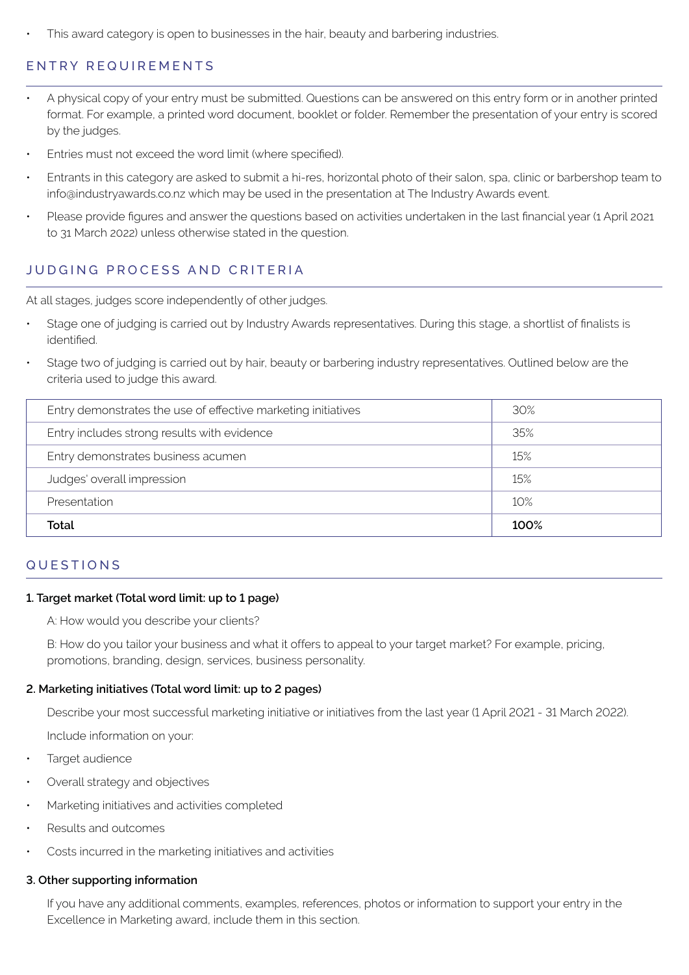This award category is open to businesses in the hair, beauty and barbering industries.

# ENTRY REQUIREMENTS

- A physical copy of your entry must be submitted. Questions can be answered on this entry form or in another printed format. For example, a printed word document, booklet or folder. Remember the presentation of your entry is scored by the judges.
- Entries must not exceed the word limit (where specified).
- Entrants in this category are asked to submit a hi-res, horizontal photo of their salon, spa, clinic or barbershop team to info@industryawards.co.nz which may be used in the presentation at The Industry Awards event.
- Please provide figures and answer the questions based on activities undertaken in the last financial year (1 April 2021 to 31 March 2022) unless otherwise stated in the question.

# JUDGING PROCESS AND CRITERIA

At all stages, judges score independently of other judges.

- Stage one of judging is carried out by Industry Awards representatives. During this stage, a shortlist of finalists is identified.
- Stage two of judging is carried out by hair, beauty or barbering industry representatives. Outlined below are the criteria used to judge this award.

| Entry demonstrates the use of effective marketing initiatives | 30%  |
|---------------------------------------------------------------|------|
| Entry includes strong results with evidence                   | 35%  |
| Entry demonstrates business acumen                            | 15%  |
| Judges' overall impression                                    | 15%  |
| Presentation                                                  | 10%  |
| Total                                                         | 100% |

## QUESTIONS

#### **1. Target market (Total word limit: up to 1 page)**

A: How would you describe your clients?

B: How do you tailor your business and what it offers to appeal to your target market? For example, pricing, promotions, branding, design, services, business personality.

### **2. Marketing initiatives (Total word limit: up to 2 pages)**

Describe your most successful marketing initiative or initiatives from the last year (1 April 2021 - 31 March 2022).

Include information on your:

- Target audience
- Overall strategy and objectives
- Marketing initiatives and activities completed
- Results and outcomes
- Costs incurred in the marketing initiatives and activities

#### **3. Other supporting information**

If you have any additional comments, examples, references, photos or information to support your entry in the Excellence in Marketing award, include them in this section.